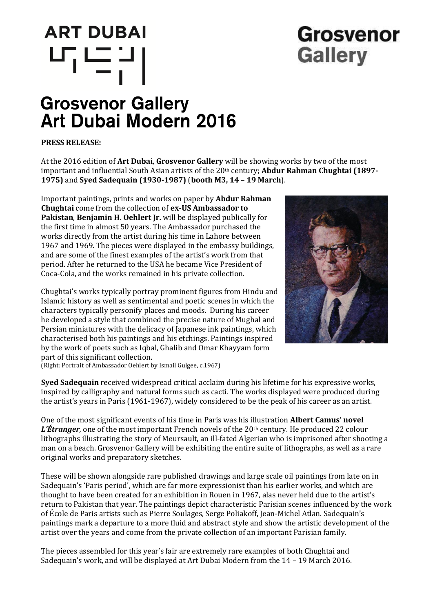# **ART DUBAI** 막드리

## Grosvenor **Gallery**

### **Grosvenor Gallery** Art Dubai Modern 2016

#### **PRESS RELEASE:**

At the 2016 edition of **Art Dubai**, **Grosvenor Gallery** will be showing works by two of the most important and influential South Asian artists of the 20th century; **Abdur Rahman Chughtai (1897- 1975)** and **Syed Sadequain (1930-1987)** (**booth M3, 14 – 19 March**).

Important paintings, prints and works on paper by **Abdur Rahman Chughtai** come from the collection of **ex-US Ambassador to Pakistan**, **Benjamin H. Oehlert Jr.** will be displayed publically for the first time in almost 50 years. The Ambassador purchased the works directly from the artist during his time in Lahore between 1967 and 1969. The pieces were displayed in the embassy buildings, and are some of the finest examples of the artist's work from that period. After he returned to the USA he became Vice President of Coca-Cola, and the works remained in his private collection.

Chughtai's works typically portray prominent figures from Hindu and Islamic history as well as sentimental and poetic scenes in which the characters typically personify places and moods. During his career he developed a style that combined the precise nature of Mughal and Persian miniatures with the delicacy of Japanese ink paintings, which characterised both his paintings and his etchings. Paintings inspired by the work of poets such as Iqbal, Ghalib and Omar Khayyam form part of this significant collection.



(Right: Portrait of Ambassador Oehlert by Ismail Gulgee, c.1967)

**Syed Sadequain** received widespread critical acclaim during his lifetime for his expressive works, inspired by calligraphy and natural forms such as cacti. The works displayed were produced during the artist's years in Paris (1961-1967), widely considered to be the peak of his career as an artist.

One of the most significant events of his time in Paris was his illustration **Albert Camus' novel**  L'Étranger, one of the most important French novels of the 20<sup>th</sup> century. He produced 22 colour lithographs illustrating the story of Meursault, an ill-fated Algerian who is imprisoned after shooting a man on a beach. Grosvenor Gallery will be exhibiting the entire suite of lithographs, as well as a rare original works and preparatory sketches.

These will be shown alongside rare published drawings and large scale oil paintings from late on in Sadequain's 'Paris period', which are far more expressionist than his earlier works, and which are thought to have been created for an exhibition in Rouen in 1967, alas never held due to the artist's return to Pakistan that year. The paintings depict characteristic Parisian scenes influenced by the work of École de Paris artists such as Pierre Soulages, Serge Poliakoff, Jean-Michel Atlan. Sadequain's paintings mark a departure to a more fluid and abstract style and show the artistic development of the artist over the years and come from the private collection of an important Parisian family.

The pieces assembled for this year's fair are extremely rare examples of both Chughtai and Sadequain's work, and will be displayed at Art Dubai Modern from the 14 – 19 March 2016.